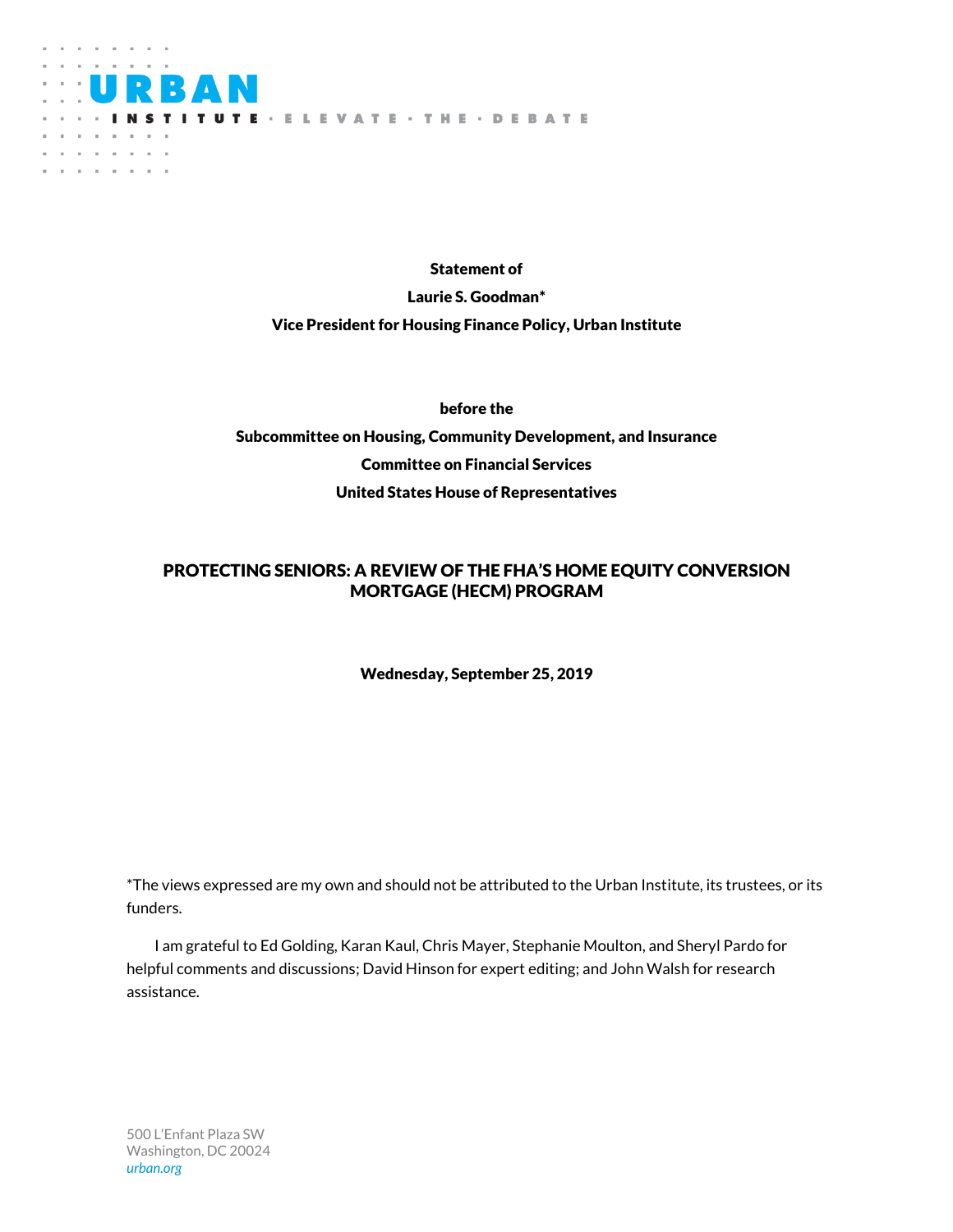

Statement of Laurie S. Goodman\* Vice President for Housing Finance Policy, Urban Institute

before the Subcommittee on Housing, Community Development, and Insurance Committee on Financial Services United States House of Representatives

## PROTECTING SENIORS: A REVIEW OF THE FHA'S HOME EQUITY CONVERSION MORTGAGE (HECM) PROGRAM

Wednesday, September 25, 2019

\*The views expressed are my own and should not be attributed to the Urban Institute, its trustees, or its funders.

I am grateful to Ed Golding, Karan Kaul, Chris Mayer, Stephanie Moulton, and Sheryl Pardo for helpful comments and discussions; David Hinson for expert editing; and John Walsh for research assistance.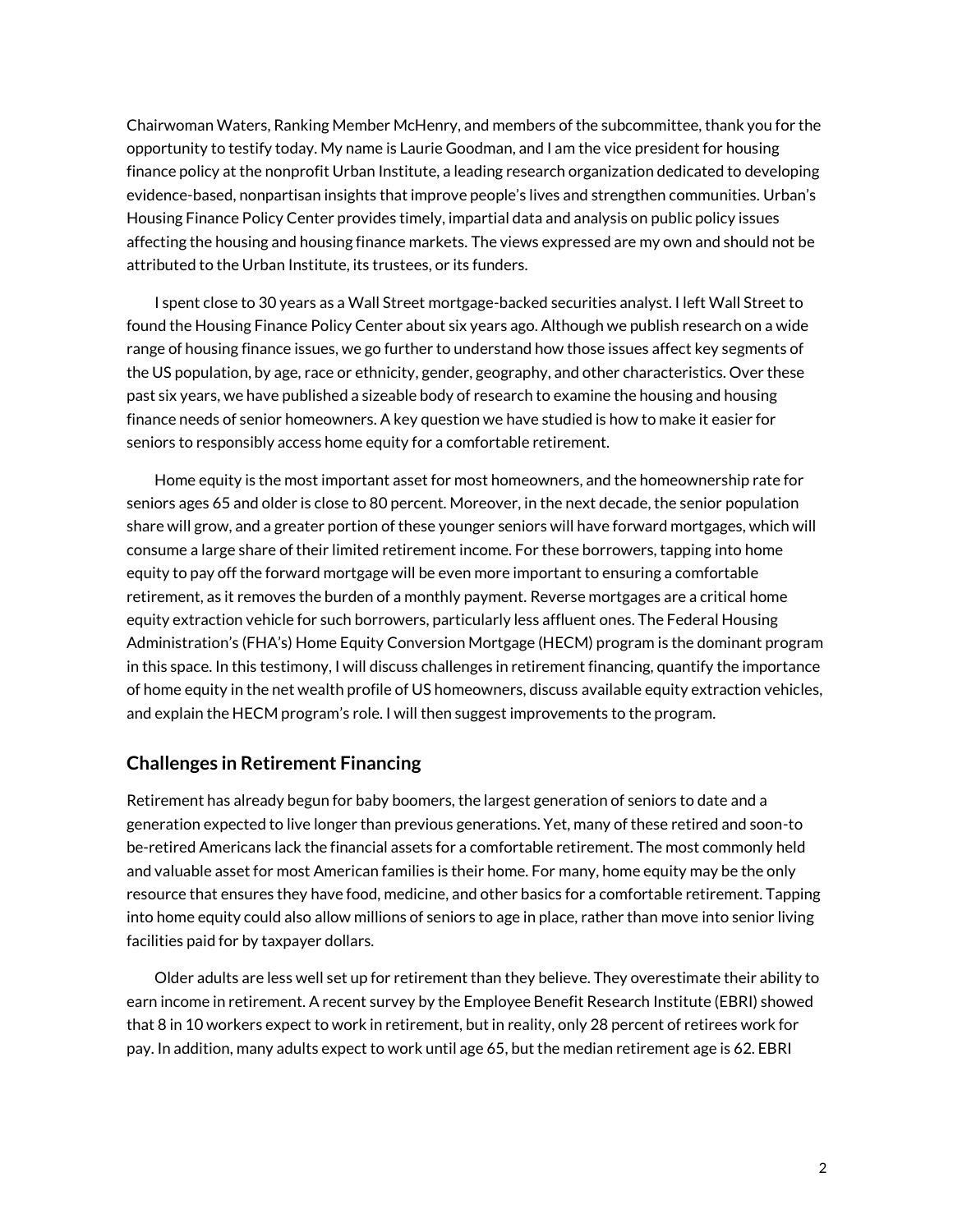Chairwoman Waters, Ranking Member McHenry, and members of the subcommittee, thank you for the opportunity to testify today. My name is Laurie Goodman, and I am the vice president for housing finance policy at the nonprofit Urban Institute, a leading research organization dedicated to developing evidence-based, nonpartisan insights that improve people's lives and strengthen communities. Urban's Housing Finance Policy Center provides timely, impartial data and analysis on public policy issues affecting the housing and housing finance markets. The views expressed are my own and should not be attributed to the Urban Institute, its trustees, or its funders.

I spent close to 30 years as a Wall Street mortgage-backed securities analyst. I left Wall Street to found the Housing Finance Policy Center about six years ago. Although we publish research on a wide range of housing finance issues, we go further to understand how those issues affect key segments of the US population, by age, race or ethnicity, gender, geography, and other characteristics. Over these past six years, we have published a sizeable body of research to examine the housing and housing finance needs of senior homeowners. A key question we have studied is how to make it easier for seniors to responsibly access home equity for a comfortable retirement.

Home equity is the most important asset for most homeowners, and the homeownership rate for seniors ages 65 and older is close to 80 percent. Moreover, in the next decade, the senior population share will grow, and a greater portion of these younger seniors will have forward mortgages, which will consume a large share of their limited retirement income. For these borrowers, tapping into home equity to pay off the forward mortgage will be even more important to ensuring a comfortable retirement, as it removes the burden of a monthly payment. Reverse mortgages are a critical home equity extraction vehicle for such borrowers, particularly less affluent ones. The Federal Housing Administration's (FHA's) Home Equity Conversion Mortgage (HECM) program is the dominant program in this space. In this testimony, I will discuss challenges in retirement financing, quantify the importance of home equity in the net wealth profile of US homeowners, discuss available equity extraction vehicles, and explain the HECM program's role. I will then suggest improvements to the program.

## **Challenges in Retirement Financing**

Retirement has already begun for baby boomers, the largest generation of seniors to date and a generation expected to live longer than previous generations. Yet, many of these retired and soon-to be-retired Americans lack the financial assets for a comfortable retirement. The most commonly held and valuable asset for most American families is their home. For many, home equity may be the only resource that ensures they have food, medicine, and other basics for a comfortable retirement. Tapping into home equity could also allow millions of seniors to age in place, rather than move into senior living facilities paid for by taxpayer dollars.

Older adults are less well set up for retirement than they believe. They overestimate their ability to earn income in retirement. A recent survey by the Employee Benefit Research Institute (EBRI) showed that 8 in 10 workers expect to work in retirement, but in reality, only 28 percent of retirees work for pay. In addition, many adults expect to work until age 65, but the median retirement age is 62. EBRI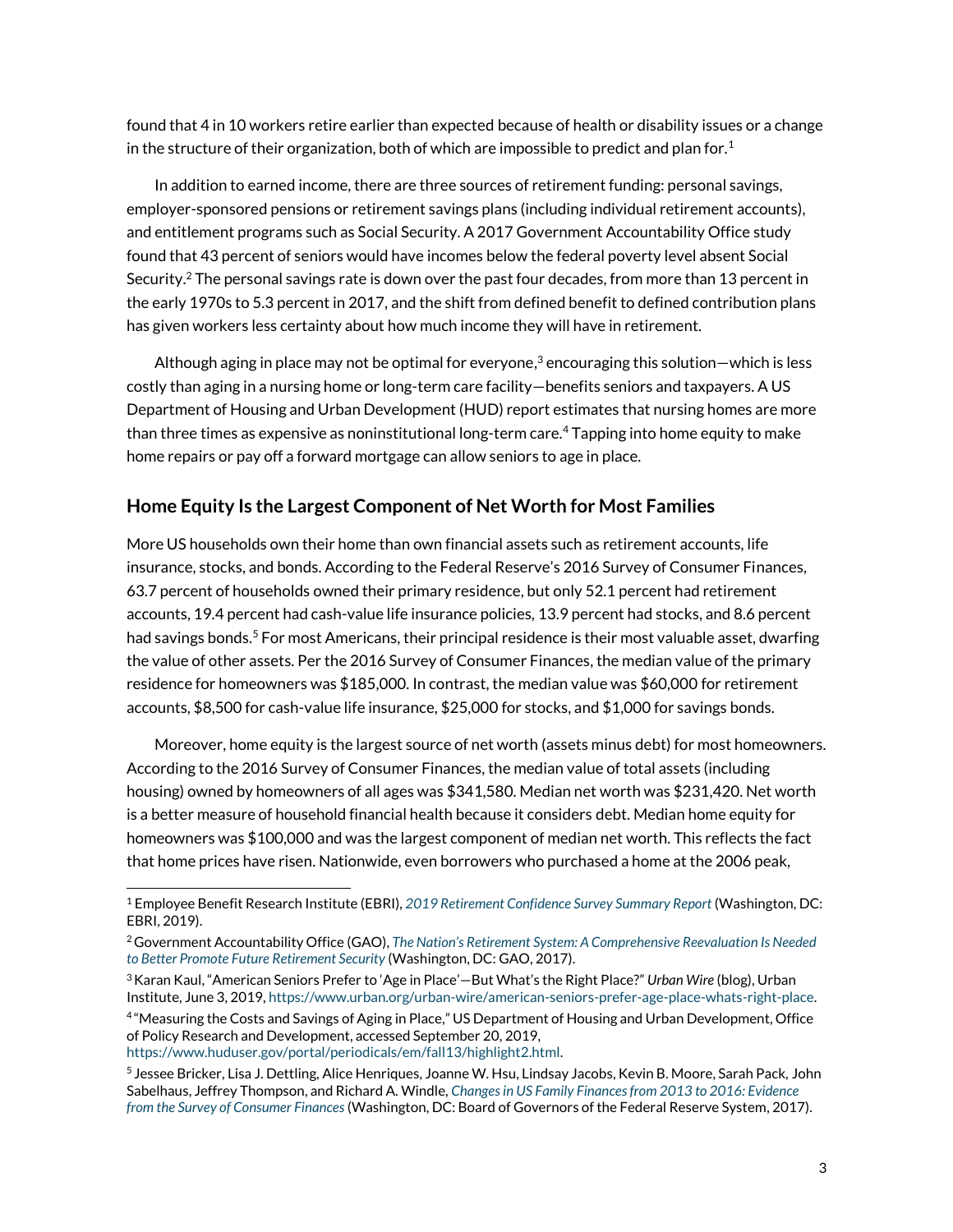found that 4 in 10 workers retire earlier than expected because of health or disability issues or a change in the structure of their organization, both of which are impossible to predict and plan for.<sup>1</sup>

In addition to earned income, there are three sources of retirement funding: personal savings, employer-sponsored pensions or retirement savings plans (including individual retirement accounts), and entitlement programs such as Social Security. A 2017 Government Accountability Office study found that 43 percent of seniors would have incomes below the federal poverty level absent Social Security.<sup>2</sup> The personal savings rate is down over the past four decades, from more than 13 percent in the early 1970s to 5.3 percent in 2017, and the shift from defined benefit to defined contribution plans has given workers less certainty about how much income they will have in retirement.

Although aging in place may not be optimal for everyone, <sup>3</sup> encouraging this solution—which is less costly than aging in a nursing home or long-term care facility—benefits seniors and taxpayers. A US Department of Housing and Urban Development (HUD) report estimates that nursing homes are more than three times as expensive as noninstitutional long-term care.<sup>4</sup> Tapping into home equity to make home repairs or pay off a forward mortgage can allow seniors to age in place.

## **Home Equity Is the Largest Component of Net Worth for Most Families**

More US households own their home than own financial assets such as retirement accounts, life insurance, stocks, and bonds. According to the Federal Reserve's 2016 Survey of Consumer Finances, 63.7 percent of households owned their primary residence, but only 52.1 percent had retirement accounts, 19.4 percent had cash-value life insurance policies, 13.9 percent had stocks, and 8.6 percent had savings bonds.<sup>5</sup> For most Americans, their principal residence is their most valuable asset, dwarfing the value of other assets. Per the 2016 Survey of Consumer Finances, the median value of the primary residence for homeowners was \$185,000. In contrast, the median value was \$60,000 for retirement accounts, \$8,500 for cash-value life insurance, \$25,000 for stocks, and \$1,000 for savings bonds.

Moreover, home equity is the largest source of net worth (assets minus debt) for most homeowners. According to the 2016 Survey of Consumer Finances, the median value of total assets (including housing) owned by homeowners of all ages was \$341,580. Median net worth was \$231,420. Net worth is a better measure of household financial health because it considers debt. Median home equity for homeowners was \$100,000 and was the largest component of median net worth. This reflects the fact that home prices have risen. Nationwide, even borrowers who purchased a home at the 2006 peak,

<sup>1</sup> Employee Benefit Research Institute (EBRI), *2019 [Retirement Confidence Survey Summary Report](https://www.ebri.org/docs/default-source/rcs/2019-rcs/2019-rcs-short-report.pdf?sfvrsn=85543f2f_4)* (Washington, DC: EBRI, 2019).

<sup>2</sup>Government Accountability Office (GAO), *[The Nation's Retirement System: A Comprehensive Reevaluation Is Needed](https://www.gao.gov/assets/690/687797.pdf)  [to Better Promote Future Retirement Security](https://www.gao.gov/assets/690/687797.pdf)* (Washington, DC: GAO, 2017).

<sup>3</sup>Karan Kaul, "American Seniors Prefer to 'Age in Place'—But What's the Right Place?" *Urban Wire* (blog), Urban Institute, June 3, 2019[, https://www.urban.org/urban-wire/american-seniors-prefer-age-place-whats-right-place.](https://www.urban.org/urban-wire/american-seniors-prefer-age-place-whats-right-place)

<sup>4</sup> "[Measuring the Costs and Savings of Aging in Place](https://www.huduser.gov/portal/periodicals/em/fall13/highlight2.html)," US Department of Housing and Urban Development, Office of Policy Research and Development, accessed September 20, 2019, [https://www.huduser.gov/portal/periodicals/em/fall13/highlight2.html.](https://www.huduser.gov/portal/periodicals/em/fall13/highlight2.html)

<sup>5</sup> Jessee Bricker, Lisa J. Dettling, Alice Henriques, Joanne W. Hsu, Lindsay Jacobs, Kevin B. Moore, Sarah Pack, John Sabelhaus, Jeffrey Thompson, and Richard A. Windle, *[Changes in US Family Finances from 2013 to 2016: Evidence](https://www.federalreserve.gov/publications/files/scf17.pdf)  [from the Survey of Consumer Finances](https://www.federalreserve.gov/publications/files/scf17.pdf)* (Washington, DC: Board of Governors of the Federal Reserve System, 2017).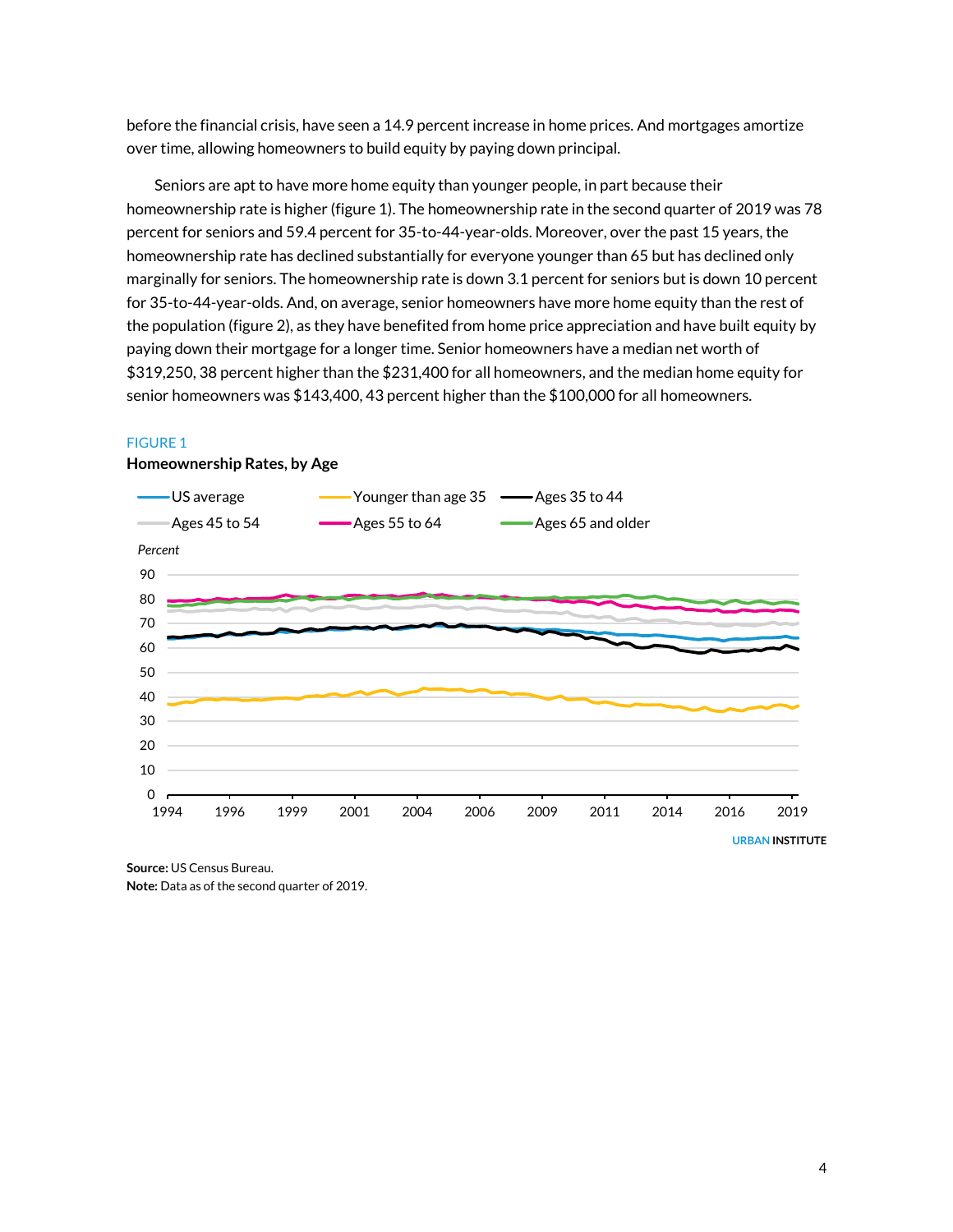before the financial crisis, have seen a 14.9 percent increase in home prices. And mortgages amortize over time, allowing homeowners to build equity by paying down principal.

Seniors are apt to have more home equity than younger people, in part because their homeownership rate is higher (figure 1). The homeownership rate in the second quarter of 2019 was 78 percent for seniors and 59.4 percent for 35-to-44-year-olds. Moreover, over the past 15 years, the homeownership rate has declined substantially for everyone younger than 65 but has declined only marginally for seniors. The homeownership rate is down 3.1 percent for seniors but is down 10 percent for 35-to-44-year-olds. And, on average, senior homeowners have more home equity than the rest of the population (figure 2), as they have benefited from home price appreciation and have built equity by paying down their mortgage for a longer time. Senior homeowners have a median net worth of \$319,250, 38 percent higher than the \$231,400 for all homeowners, and the median home equity for senior homeowners was \$143,400, 43 percent higher than the \$100,000 for all homeowners.

#### FIGURE 1



#### **Homeownership Rates, by Age**

**Source:** US Census Bureau. **Note:** Data as of the second quarter of 2019.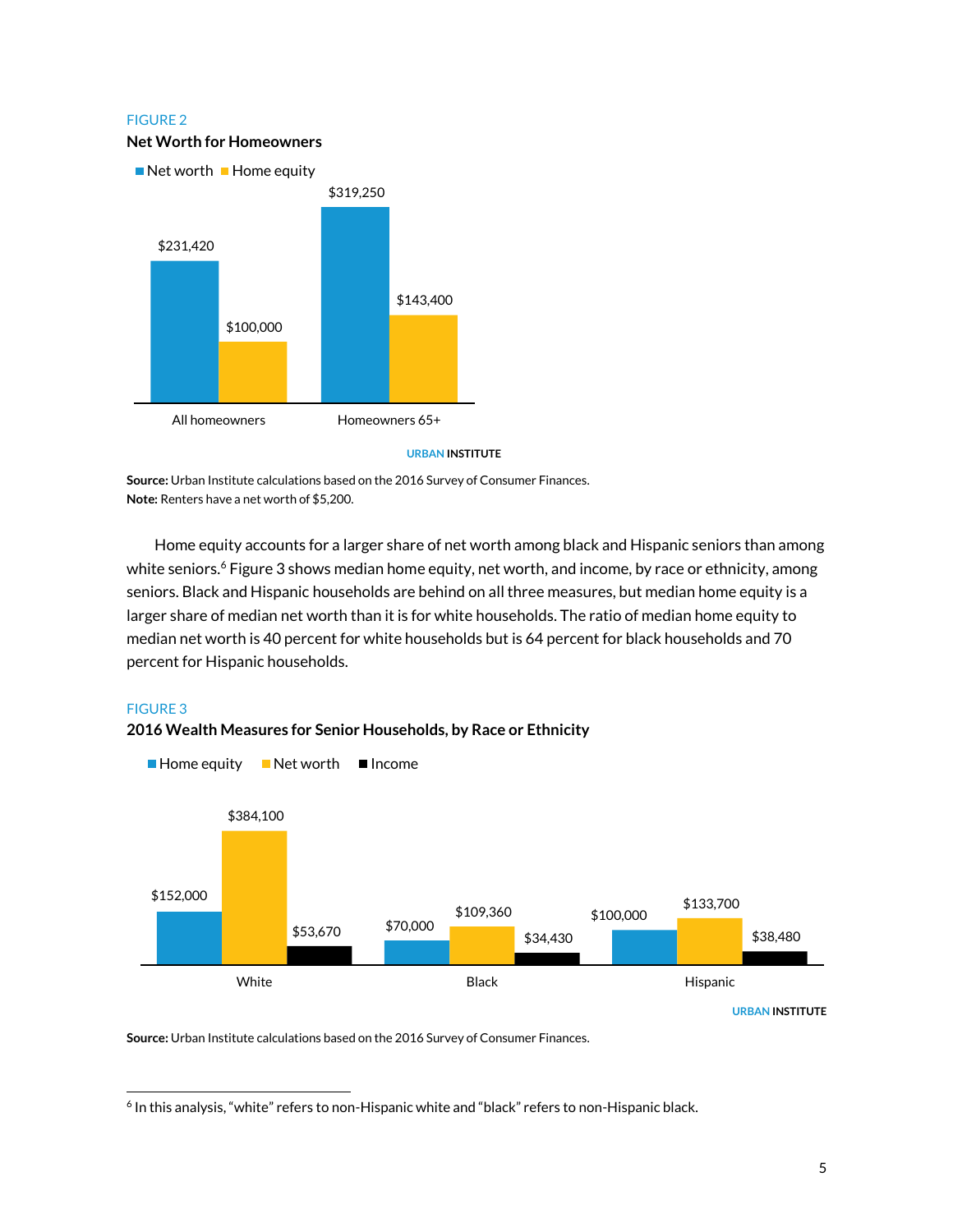## FIGURE 2 **Net Worth for Homeowners**



**URBAN INSTITUTE**

**Source:** Urban Institute calculations based on the 2016 Survey of Consumer Finances. **Note:** Renters have a net worth of \$5,200.

Home equity accounts for a larger share of net worth among black and Hispanic seniors than among white seniors. <sup>6</sup> Figure 3 shows median home equity, net worth, and income, by race or ethnicity, among seniors. Black and Hispanic households are behind on all three measures, but median home equity is a larger share of median net worth than it is for white households. The ratio of median home equity to median net worth is 40 percent for white households but is 64 percent for black households and 70 percent for Hispanic households.

## FIGURE 3

 $\overline{a}$ 



**2016 Wealth Measures for Senior Households, by Race or Ethnicity**

**Source:** Urban Institute calculations based on the 2016 Survey of Consumer Finances.

<sup>&</sup>lt;sup>6</sup> In this analysis, "white" refers to non-Hispanic white and "black" refers to non-Hispanic black.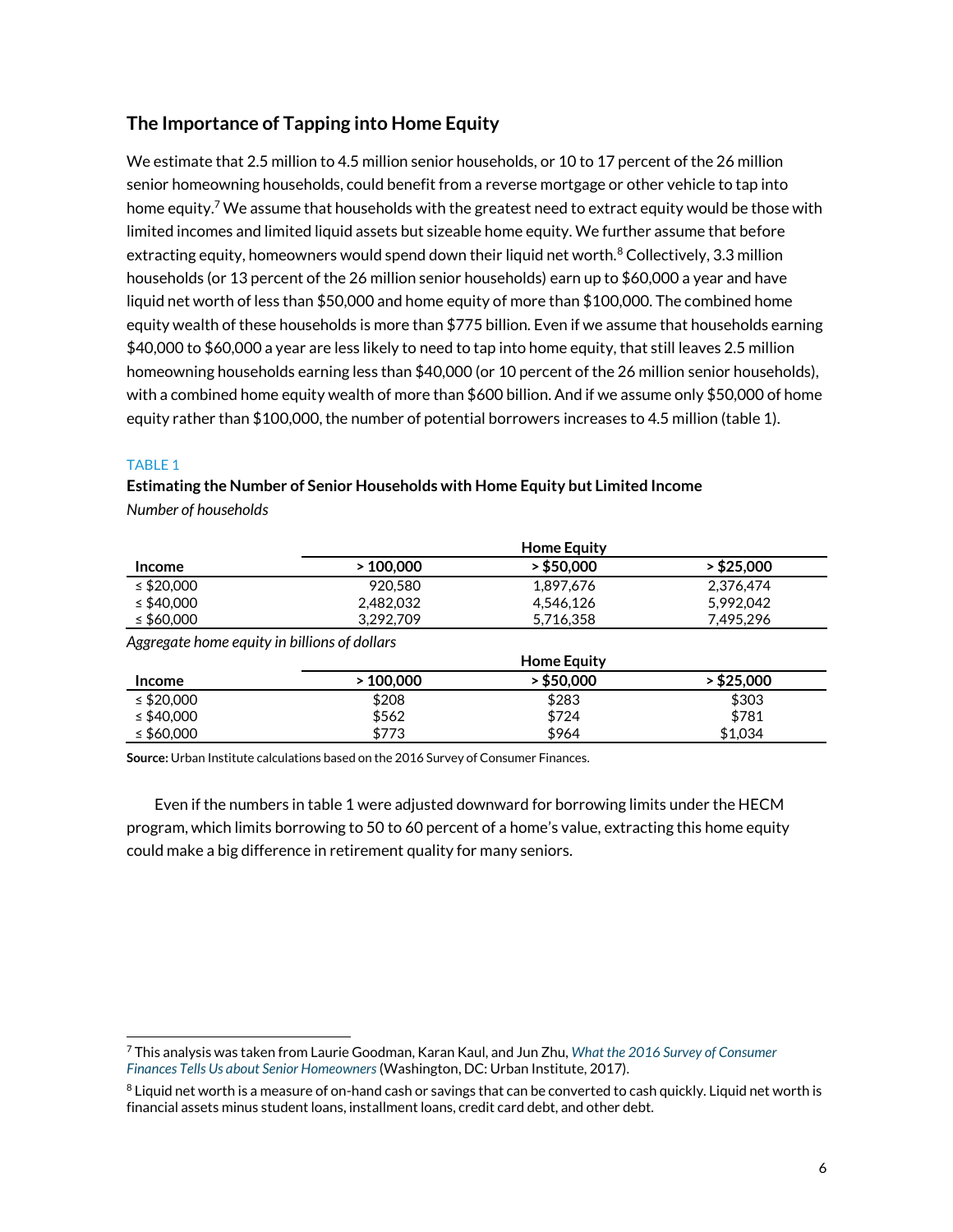## **The Importance of Tapping into Home Equity**

We estimate that 2.5 million to 4.5 million senior households, or 10 to 17 percent of the 26 million senior homeowning households, could benefit from a reverse mortgage or other vehicle to tap into home equity.<sup>7</sup> We assume that households with the greatest need to extract equity would be those with limited incomes and limited liquid assets but sizeable home equity. We further assume that before extracting equity, homeowners would spend down their liquid net worth. $^8$  Collectively, 3.3 million households (or 13 percent of the 26 million senior households) earn up to \$60,000 a year and have liquid net worth of less than \$50,000 and home equity of more than \$100,000. The combined home equity wealth of these households is more than \$775 billion. Even if we assume that households earning \$40,000 to \$60,000 a year are less likely to need to tap into home equity, that still leaves 2.5 million homeowning households earning less than \$40,000 (or 10 percent of the 26 million senior households), with a combined home equity wealth of more than \$600 billion. And if we assume only \$50,000 of home equity rather than \$100,000, the number of potential borrowers increases to 4.5 million (table 1).

## TABLE 1

 $\overline{a}$ 

**Estimating the Number of Senior Households with Home Equity but Limited Income** *Number of households*

|                                              | <b>Home Equity</b> |              |              |
|----------------------------------------------|--------------------|--------------|--------------|
| <b>Income</b>                                | >100,000           | $>$ \$50,000 | > \$25,000   |
| ≤ \$20,000                                   | 920,580            | 1.897.676    | 2.376.474    |
| $\leq$ \$40,000                              | 2,482,032          | 4.546.126    | 5,992,042    |
| ≤ \$60,000                                   | 3.292.709          | 5,716,358    | 7.495.296    |
| Aggregate home equity in billions of dollars |                    |              |              |
|                                              | <b>Home Equity</b> |              |              |
| <b>Income</b>                                | >100,000           | > \$50,000   | $>$ \$25,000 |
| ≤ \$20,000                                   | \$208              | \$283        | \$303        |

**Source:** Urban Institute calculations based on the 2016 Survey of Consumer Finances.

Even if the numbers in table 1 were adjusted downward for borrowing limits under the HECM program, which limits borrowing to 50 to 60 percent of a home's value, extracting this home equity could make a big difference in retirement quality for many seniors.

≤ \$40,000 \$781 \$562 \$724 \$781 ≤ \$60,000 \$773 \$964 \$1,034

<sup>7</sup> This analysis was taken from Laurie Goodman, Karan Kaul, and Jun Zhu, *[What the 2016 Survey](https://www.urban.org/research/publication/what-2016-survey-consumer-finances-tells-us-about-senior-homeowners) of Consumer [Finances Tells Us about Senior Homeowners](https://www.urban.org/research/publication/what-2016-survey-consumer-finances-tells-us-about-senior-homeowners)* (Washington, DC: Urban Institute, 2017).

 $8$  Liquid net worth is a measure of on-hand cash or savings that can be converted to cash quickly. Liquid net worth is financial assets minus student loans, installment loans, credit card debt, and other debt.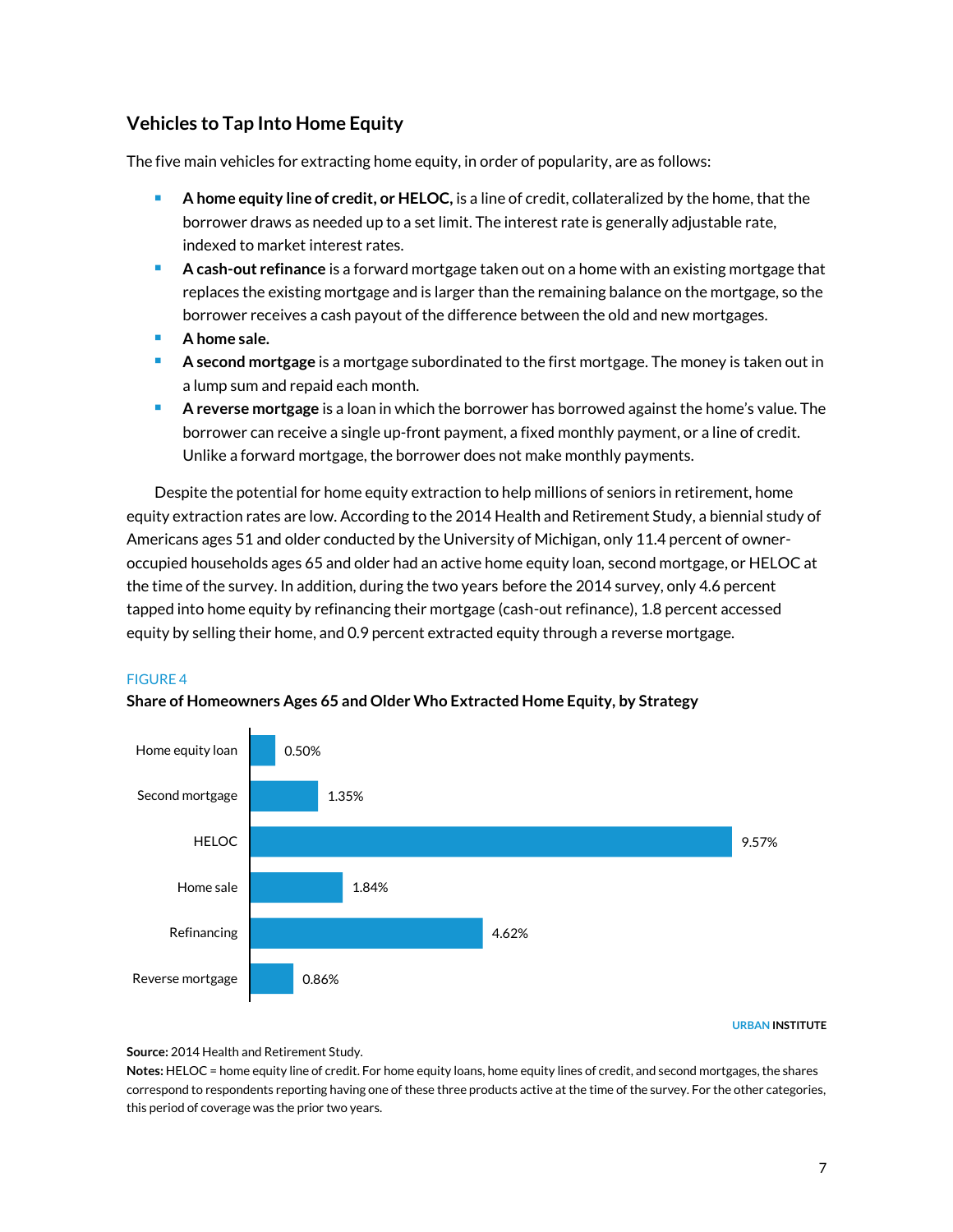## **Vehicles to Tap Into Home Equity**

The five main vehicles for extracting home equity, in order of popularity, are as follows:

- **A home equity line of credit, or HELOC,** is a line of credit, collateralized by the home, that the borrower draws as needed up to a set limit. The interest rate is generally adjustable rate, indexed to market interest rates.
- **A cash-out refinance** is a forward mortgage taken out on a home with an existing mortgage that replaces the existing mortgage and is larger than the remaining balance on the mortgage, so the borrower receives a cash payout of the difference between the old and new mortgages.
- **A home sale.**
- **A second mortgage** is a mortgage subordinated to the first mortgage. The money is taken out in a lump sum and repaid each month.
- **A reverse mortgage** is a loan in which the borrower has borrowed against the home's value. The borrower can receive a single up-front payment, a fixed monthly payment, or a line of credit. Unlike a forward mortgage, the borrower does not make monthly payments.

Despite the potential for home equity extraction to help millions of seniors in retirement, home equity extraction rates are low. According to the 2014 Health and Retirement Study, a biennial study of Americans ages 51 and older conducted by the University of Michigan, only 11.4 percent of owneroccupied households ages 65 and older had an active home equity loan, second mortgage, or HELOC at the time of the survey. In addition, during the two years before the 2014 survey, only 4.6 percent tapped into home equity by refinancing their mortgage (cash-out refinance), 1.8 percent accessed equity by selling their home, and 0.9 percent extracted equity through a reverse mortgage.

## FIGURE 4



## **Share of Homeowners Ages 65 and Older Who Extracted Home Equity, by Strategy**

#### **URBAN INSTITUTE**

**Source:** 2014 Health and Retirement Study.

**Notes:** HELOC = home equity line of credit. For home equity loans, home equity lines of credit, and second mortgages, the shares correspond to respondents reporting having one of these three products active at the time of the survey. For the other categories, this period of coverage was the prior two years.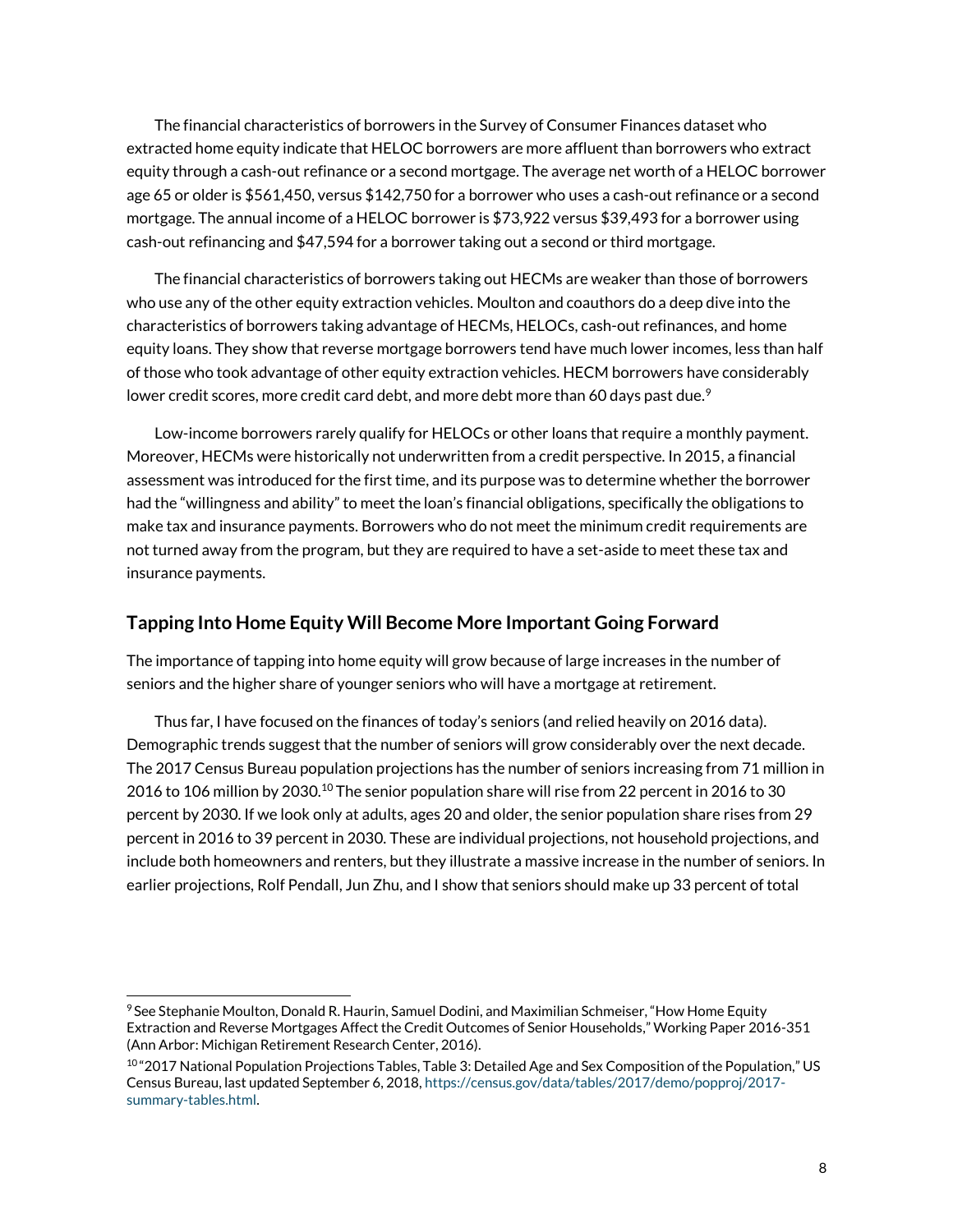The financial characteristics of borrowers in the Survey of Consumer Finances dataset who extracted home equity indicate that HELOC borrowers are more affluent than borrowers who extract equity through a cash-out refinance or a second mortgage. The average net worth of a HELOC borrower age 65 or older is \$561,450, versus \$142,750 for a borrower who uses a cash-out refinance or a second mortgage. The annual income of a HELOC borrower is \$73,922 versus \$39,493 for a borrower using cash-out refinancing and \$47,594 for a borrower taking out a second or third mortgage.

The financial characteristics of borrowers taking out HECMs are weaker than those of borrowers who use any of the other equity extraction vehicles. Moulton and coauthors do a deep dive into the characteristics of borrowers taking advantage of HECMs, HELOCs, cash-out refinances, and home equity loans. They show that reverse mortgage borrowers tend have much lower incomes, less than half of those who took advantage of other equity extraction vehicles. HECM borrowers have considerably lower credit scores, more credit card debt, and more debt more than 60 days past due. $^9$ 

Low-income borrowers rarely qualify for HELOCs or other loans that require a monthly payment. Moreover, HECMs were historically not underwritten from a credit perspective. In 2015, a financial assessment was introduced for the first time, and its purpose was to determine whether the borrower had the "willingness and ability" to meet the loan's financial obligations, specifically the obligations to make tax and insurance payments. Borrowers who do not meet the minimum credit requirements are not turned away from the program, but they are required to have a set-aside to meet these tax and insurance payments.

## **Tapping Into Home Equity Will Become More Important Going Forward**

The importance of tapping into home equity will grow because of large increases in the number of seniors and the higher share of younger seniors who will have a mortgage at retirement.

Thus far, I have focused on the finances of today's seniors (and relied heavily on 2016 data). Demographic trends suggest that the number of seniors will grow considerably over the next decade. The 2017 Census Bureau population projections has the number of seniors increasing from 71 million in 2016 to 106 million by 2030.<sup>10</sup> The senior population share will rise from 22 percent in 2016 to 30 percent by 2030. If we look only at adults, ages 20 and older, the senior population share rises from 29 percent in 2016 to 39 percent in 2030. These are individual projections, not household projections, and include both homeowners and renters, but they illustrate a massive increase in the number of seniors. In earlier projections, Rolf Pendall, Jun Zhu, and I show that seniors should make up 33 percent of total

<sup>9</sup> See Stephanie Moulton, Donald R. Haurin, Samuel Dodini, and Maximilian Schmeiser, "How Home Equity Extraction and Reverse Mortgages Affect the Credit Outcomes of Senior Households," Working Paper 2016-351 (Ann Arbor: Michigan Retirement Research Center, 2016).

<sup>10 &</sup>quot;2017 National Population Projections Tables, Table 3: Detailed Age and Sex Composition of the Population," US Census Bureau, last updated September 6, 2018, [https://census.gov/data/tables/2017/demo/popproj/2017](https://census.gov/data/tables/2017/demo/popproj/2017-summary-tables.html) [summary-tables.html.](https://census.gov/data/tables/2017/demo/popproj/2017-summary-tables.html)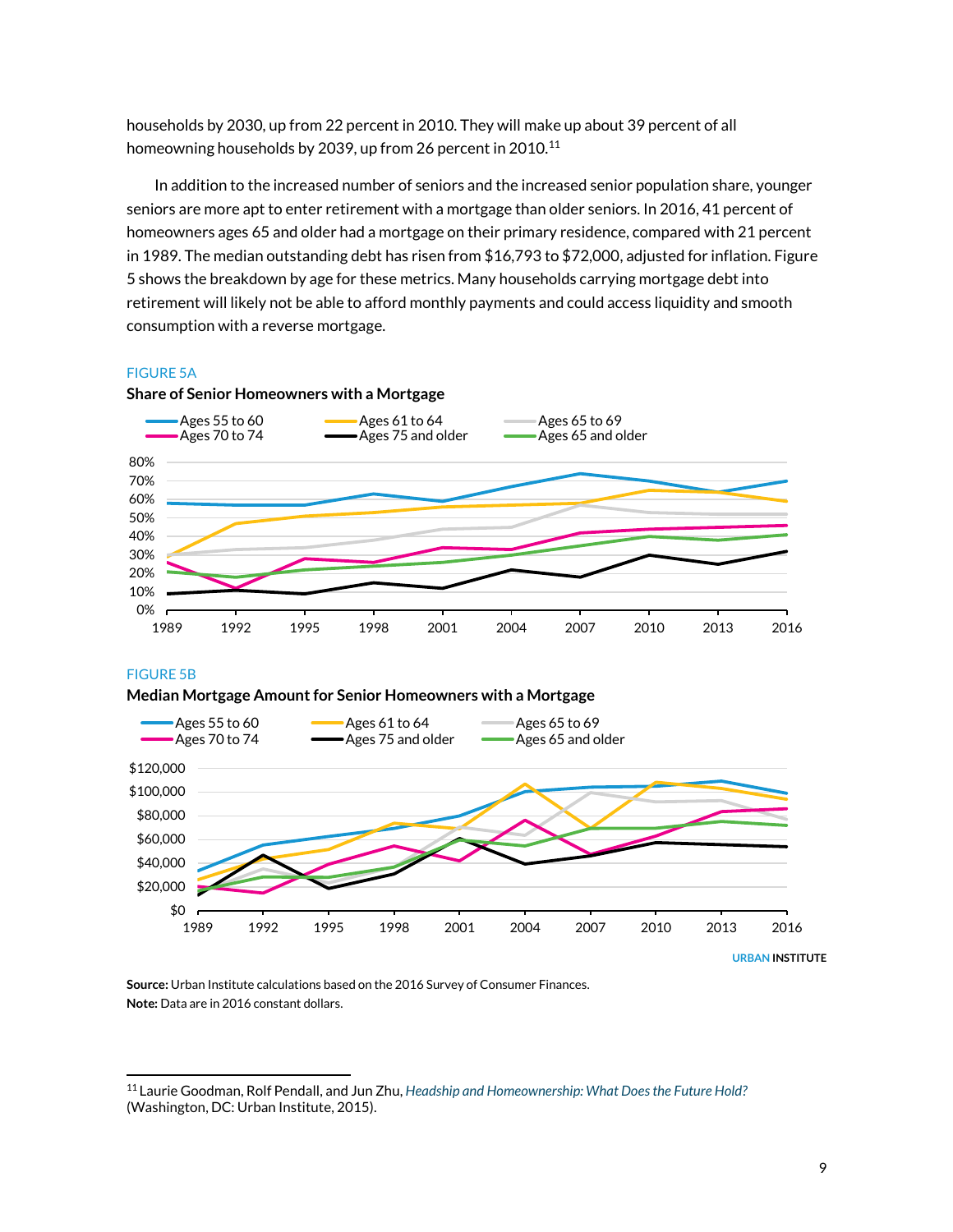households by 2030, up from 22 percent in 2010. They will make up about 39 percent of all homeowning households by 2039, up from 26 percent in 2010.<sup>11</sup>

In addition to the increased number of seniors and the increased senior population share, younger seniors are more apt to enter retirement with a mortgage than older seniors. In 2016, 41 percent of homeowners ages 65 and older had a mortgage on their primary residence, compared with 21 percent in 1989. The median outstanding debt has risen from \$16,793 to \$72,000, adjusted for inflation. Figure 5 shows the breakdown by age for these metrics. Many households carrying mortgage debt into retirement will likely not be able to afford monthly payments and could access liquidity and smooth consumption with a reverse mortgage.

#### FIGURE 5A



**Share of Senior Homeowners with a Mortgage**

FIGURE 5B

 $\overline{a}$ 





**Source:** Urban Institute calculations based on the 2016 Survey of Consumer Finances. **Note:** Data are in 2016 constant dollars.

<sup>11</sup> Laurie Goodman, Rolf Pendall, and Jun Zhu, *[Headship and Homeownership: What Does the Future Hold?](https://www.urban.org/research/publication/headship-and-homeownership-what-does-future-hold)* (Washington, DC: Urban Institute, 2015).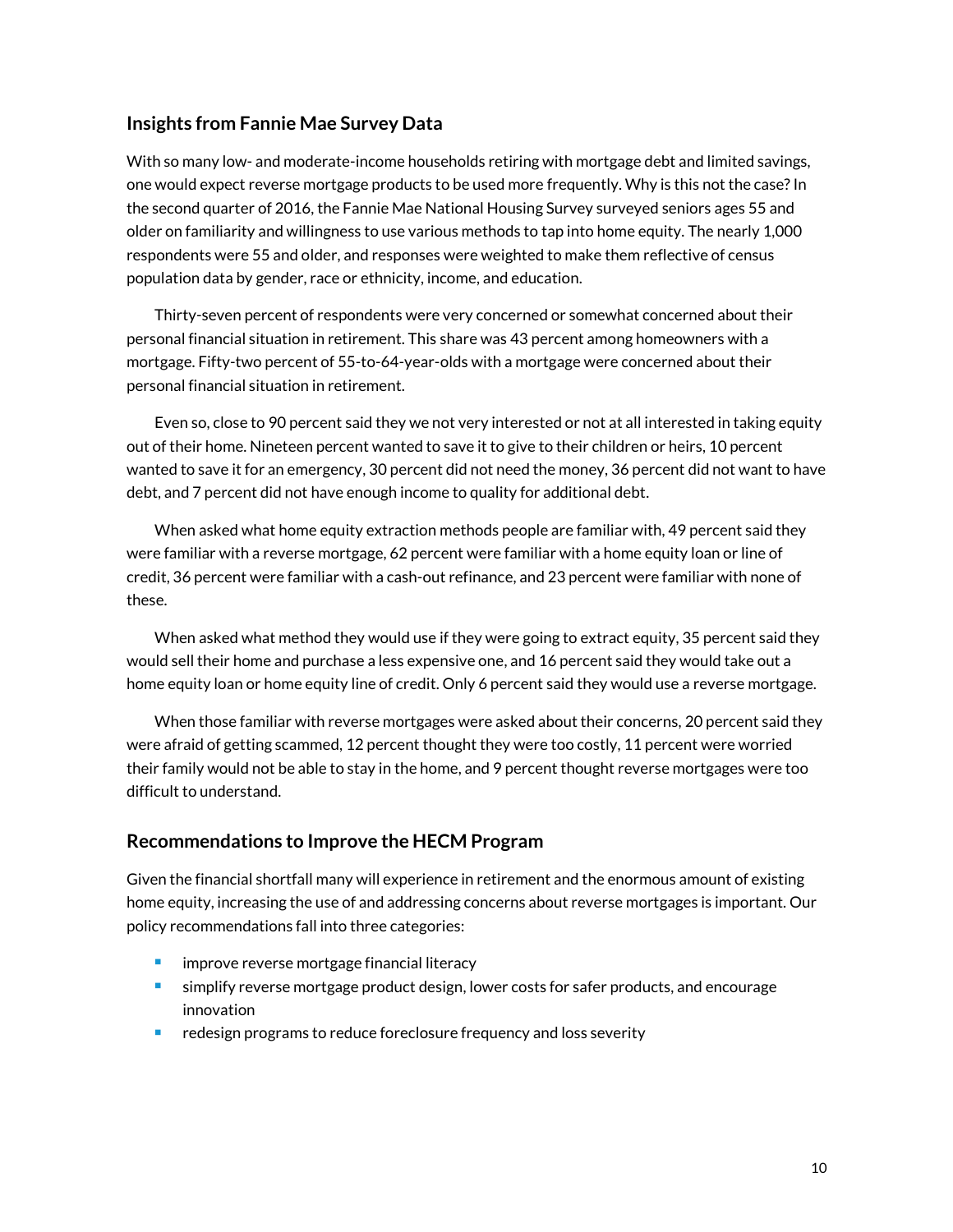## **Insights from Fannie Mae Survey Data**

With so many low- and moderate-income households retiring with mortgage debt and limited savings, one would expect reverse mortgage products to be used more frequently. Why is this not the case? In the second quarter of 2016, the Fannie Mae National Housing Survey surveyed seniors ages 55 and older on familiarity and willingness to use various methods to tap into home equity. The nearly 1,000 respondents were 55 and older, and responses were weighted to make them reflective of census population data by gender, race or ethnicity, income, and education.

Thirty-seven percent of respondents were very concerned or somewhat concerned about their personal financial situation in retirement. This share was 43 percent among homeowners with a mortgage. Fifty-two percent of 55-to-64-year-olds with a mortgage were concerned about their personal financial situation in retirement.

Even so, close to 90 percent said they we not very interested or not at all interested in taking equity out of their home. Nineteen percent wanted to save it to give to their children or heirs, 10 percent wanted to save it for an emergency, 30 percent did not need the money, 36 percent did not want to have debt, and 7 percent did not have enough income to quality for additional debt.

When asked what home equity extraction methods people are familiar with, 49 percent said they were familiar with a reverse mortgage, 62 percent were familiar with a home equity loan or line of credit, 36 percent were familiar with a cash-out refinance, and 23 percent were familiar with none of these.

When asked what method they would use if they were going to extract equity, 35 percent said they would sell their home and purchase a less expensive one, and 16 percent said they would take out a home equity loan or home equity line of credit. Only 6 percent said they would use a reverse mortgage.

When those familiar with reverse mortgages were asked about their concerns, 20 percent said they were afraid of getting scammed, 12 percent thought they were too costly, 11 percent were worried their family would not be able to stay in the home, and 9 percent thought reverse mortgages were too difficult to understand.

## **Recommendations to Improve the HECM Program**

Given the financial shortfall many will experience in retirement and the enormous amount of existing home equity, increasing the use of and addressing concerns about reverse mortgages is important. Our policy recommendations fall into three categories:

- **EXECUTE:** improve reverse mortgage financial literacy
- simplify reverse mortgage product design, lower costs for safer products, and encourage innovation
- redesign programs to reduce foreclosure frequency and loss severity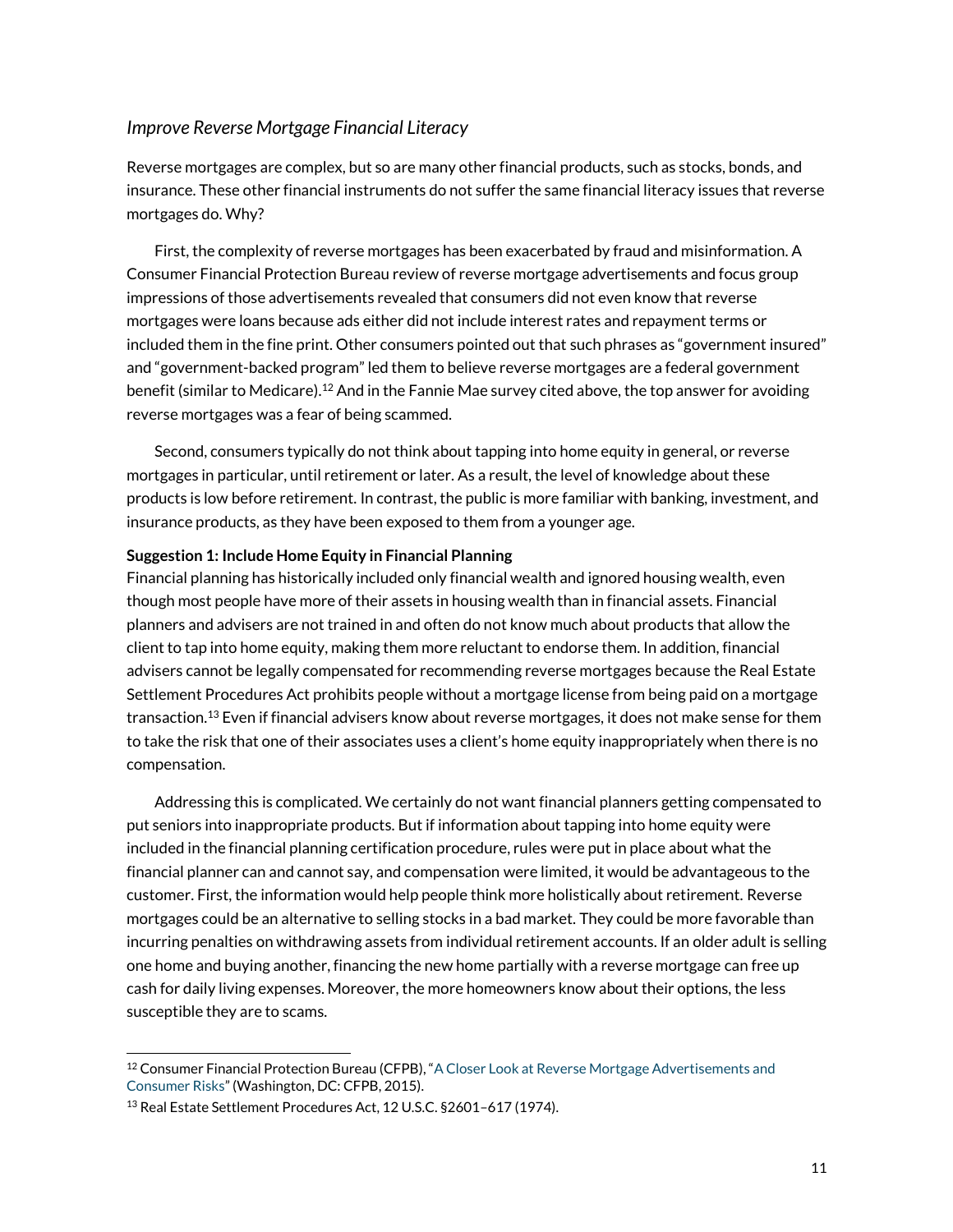## *Improve Reverse Mortgage Financial Literacy*

Reverse mortgages are complex, but so are many other financial products, such as stocks, bonds, and insurance. These other financial instruments do not suffer the same financial literacy issues that reverse mortgages do. Why?

First, the complexity of reverse mortgages has been exacerbated by fraud and misinformation. A Consumer Financial Protection Bureau review of reverse mortgage advertisements and focus group impressions of those advertisements revealed that consumers did not even know that reverse mortgages were loans because ads either did not include interest rates and repayment terms or included them in the fine print. Other consumers pointed out that such phrases as "government insured" and "government-backed program" led them to believe reverse mortgages are a federal government benefit (similar to Medicare).<sup>12</sup> And in the Fannie Mae survey cited above, the top answer for avoiding reverse mortgages was a fear of being scammed.

Second, consumers typically do not think about tapping into home equity in general, or reverse mortgages in particular, until retirement or later. As a result, the level of knowledge about these products is low before retirement. In contrast, the public is more familiar with banking, investment, and insurance products, as they have been exposed to them from a younger age.

#### **Suggestion 1: Include Home Equity in Financial Planning**

Financial planning has historically included only financial wealth and ignored housing wealth, even though most people have more of their assets in housing wealth than in financial assets. Financial planners and advisers are not trained in and often do not know much about products that allow the client to tap into home equity, making them more reluctant to endorse them. In addition, financial advisers cannot be legally compensated for recommending reverse mortgages because the Real Estate Settlement Procedures Act prohibits people without a mortgage license from being paid on a mortgage transaction.<sup>13</sup> Even if financial advisers know about reverse mortgages, it does not make sense for them to take the risk that one of their associates uses a client's home equity inappropriately when there is no compensation.

Addressing this is complicated. We certainly do not want financial planners getting compensated to put seniors into inappropriate products. But if information about tapping into home equity were included in the financial planning certification procedure, rules were put in place about what the financial planner can and cannot say, and compensation were limited, it would be advantageous to the customer. First, the information would help people think more holistically about retirement. Reverse mortgages could be an alternative to selling stocks in a bad market. They could be more favorable than incurring penalties on withdrawing assets from individual retirement accounts. If an older adult is selling one home and buying another, financing the new home partially with a reverse mortgage can free up cash for daily living expenses. Moreover, the more homeowners know about their options, the less susceptible they are to scams.

<sup>&</sup>lt;sup>12</sup> Consumer Financial Protection Bureau (CFPB), "A Closer Look at Reverse Mortgage Advertisements and [Consumer Risks](https://files.consumerfinance.gov/f/201506_cfpb_a-closer-look-at-reverse-mortgage-advertising.pdf)" (Washington, DC: CFPB, 2015).

<sup>13</sup> Real Estate Settlement Procedures Act, 12 U.S.C. §2601–617 (1974).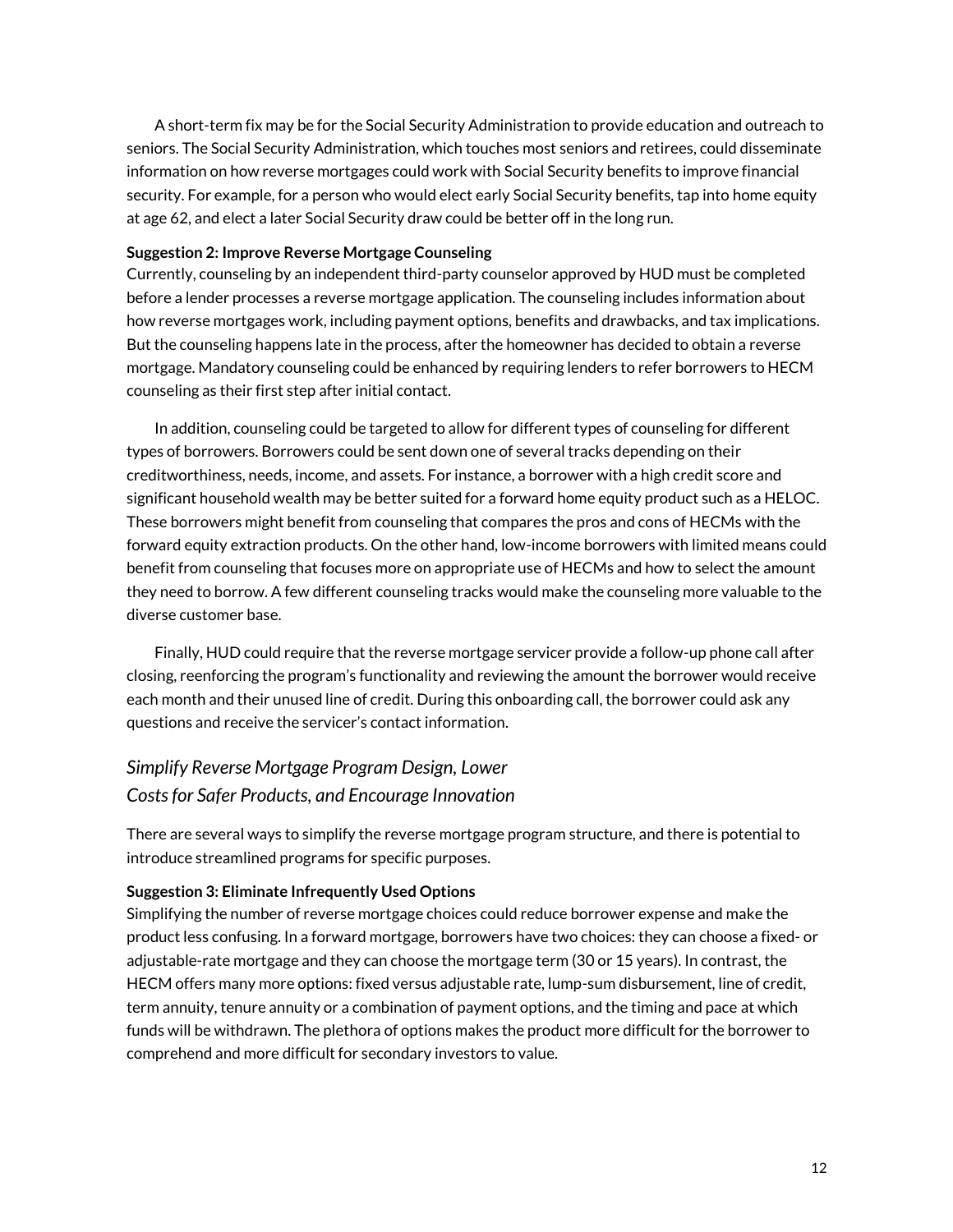A short-term fix may be for the Social Security Administration to provide education and outreach to seniors. The Social Security Administration, which touches most seniors and retirees, could disseminate information on how reverse mortgages could work with Social Security benefits to improve financial security. For example, for a person who would elect early Social Security benefits, tap into home equity at age 62, and elect a later Social Security draw could be better off in the long run.

### **Suggestion 2: Improve Reverse Mortgage Counseling**

Currently, counseling by an independent third-party counselor approved by HUD must be completed before a lender processes a reverse mortgage application. The counseling includes information about how reverse mortgages work, including payment options, benefits and drawbacks, and tax implications. But the counseling happens late in the process, after the homeowner has decided to obtain a reverse mortgage. Mandatory counseling could be enhanced by requiring lenders to refer borrowers to HECM counseling as their first step after initial contact.

In addition, counseling could be targeted to allow for different types of counseling for different types of borrowers. Borrowers could be sent down one of several tracks depending on their creditworthiness, needs, income, and assets. For instance, a borrower with a high credit score and significant household wealth may be better suited for a forward home equity product such as a HELOC. These borrowers might benefit from counseling that compares the pros and cons of HECMs with the forward equity extraction products. On the other hand, low-income borrowers with limited means could benefit from counseling that focuses more on appropriate use of HECMs and how to select the amount they need to borrow. A few different counseling tracks would make the counseling more valuable to the diverse customer base.

Finally, HUD could require that the reverse mortgage servicer provide a follow-up phone call after closing, reenforcing the program's functionality and reviewing the amount the borrower would receive each month and their unused line of credit. During this onboarding call, the borrower could ask any questions and receive the servicer's contact information.

# *Simplify Reverse Mortgage Program Design, Lower Costsfor Safer Products, and Encourage Innovation*

There are several ways to simplify the reverse mortgage program structure, and there is potential to introduce streamlined programs for specific purposes.

### **Suggestion 3: Eliminate Infrequently Used Options**

Simplifying the number of reverse mortgage choices could reduce borrower expense and make the product less confusing. In a forward mortgage, borrowers have two choices: they can choose a fixed- or adjustable-rate mortgage and they can choose the mortgage term (30 or 15 years). In contrast, the HECM offers many more options: fixed versus adjustable rate, lump-sum disbursement, line of credit, term annuity, tenure annuity or a combination of payment options, and the timing and pace at which funds will be withdrawn. The plethora of options makes the product more difficult for the borrower to comprehend and more difficult for secondary investors to value.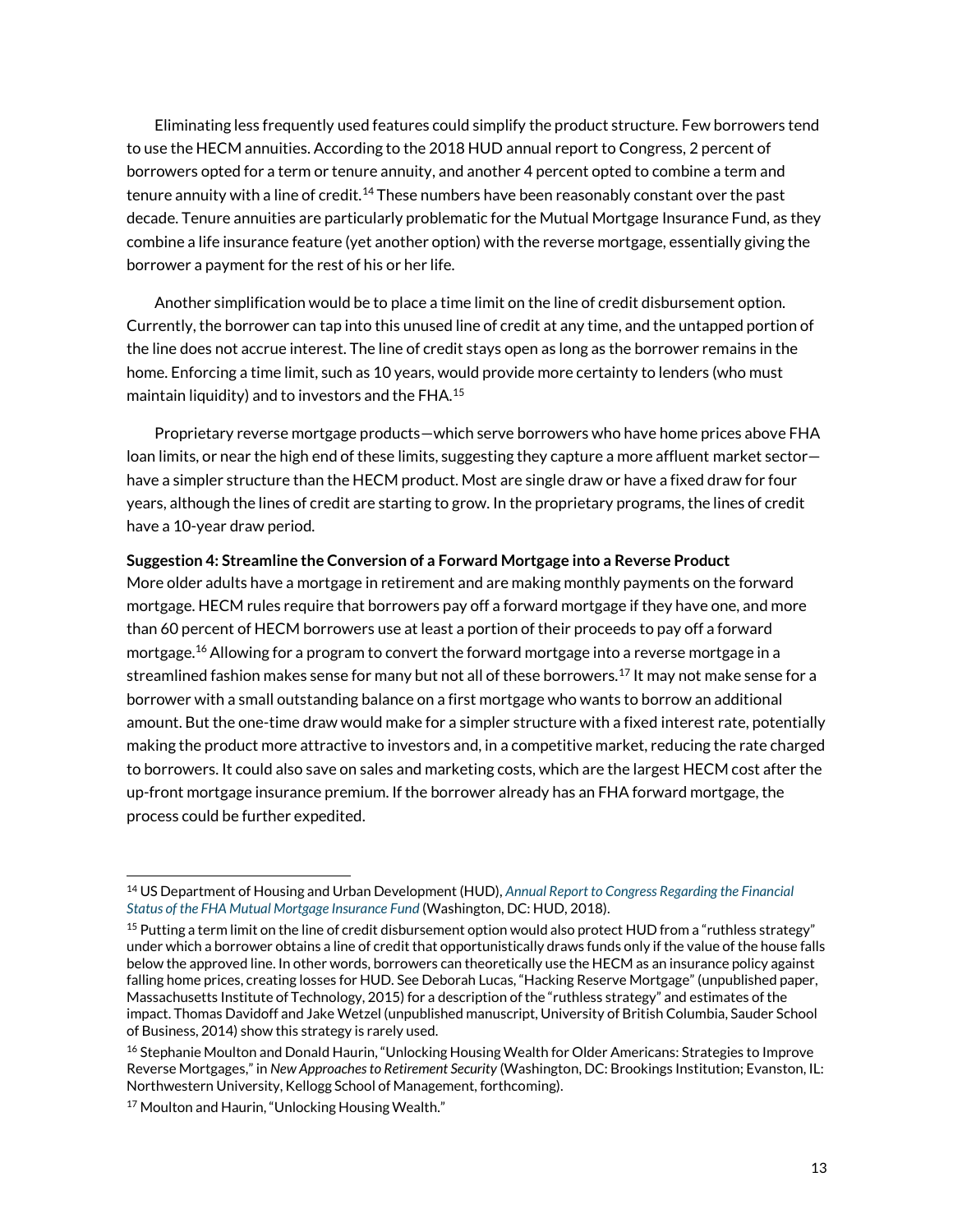Eliminating less frequently used features could simplify the product structure. Few borrowers tend to use the HECM annuities. According to the 2018 HUD annual report to Congress, 2 percent of borrowers opted for a term or tenure annuity, and another 4 percent opted to combine a term and tenure annuity with a line of credit.<sup>14</sup> These numbers have been reasonably constant over the past decade. Tenure annuities are particularly problematic for the Mutual Mortgage Insurance Fund, as they combine a life insurance feature (yet another option) with the reverse mortgage, essentially giving the borrower a payment for the rest of his or her life.

Another simplification would be to place a time limit on the line of credit disbursement option. Currently, the borrower can tap into this unused line of credit at any time, and the untapped portion of the line does not accrue interest. The line of credit stays open as long as the borrower remains in the home. Enforcing a time limit, such as 10 years, would provide more certainty to lenders (who must maintain liquidity) and to investors and the FHA.<sup>15</sup>

Proprietary reverse mortgage products—which serve borrowers who have home prices above FHA loan limits, or near the high end of these limits, suggesting they capture a more affluent market sector have a simpler structure than the HECM product. Most are single draw or have a fixed draw for four years, although the lines of credit are starting to grow. In the proprietary programs, the lines of credit have a 10-year draw period.

### **Suggestion 4: Streamline the Conversion of a Forward Mortgage into a Reverse Product**

More older adults have a mortgage in retirement and are making monthly payments on the forward mortgage. HECM rules require that borrowers pay off a forward mortgage if they have one, and more than 60 percent of HECM borrowers use at least a portion of their proceeds to pay off a forward mortgage.<sup>16</sup> Allowing for a program to convert the forward mortgage into a reverse mortgage in a streamlined fashion makes sense for many but not all of these borrowers.<sup>17</sup> It may not make sense for a borrower with a small outstanding balance on a first mortgage who wants to borrow an additional amount. But the one-time draw would make for a simpler structure with a fixed interest rate, potentially making the product more attractive to investors and, in a competitive market, reducing the rate charged to borrowers. It could also save on sales and marketing costs, which are the largest HECM cost after the up-front mortgage insurance premium. If the borrower already has an FHA forward mortgage, the process could be further expedited.

<sup>14</sup> US Department of Housing and Urban Development (HUD), *[Annual Report to Congress Regarding the Financial](https://www.hud.gov/sites/dfiles/Housing/documents/2018fhaannualreportMMIFund.pdf)  [Status of the FHA Mutual Mortgage Insurance Fund](https://www.hud.gov/sites/dfiles/Housing/documents/2018fhaannualreportMMIFund.pdf)* (Washington, DC: HUD, 2018).

<sup>&</sup>lt;sup>15</sup> Putting a term limit on the line of credit disbursement option would also protect HUD from a "ruthless strategy" under which a borrower obtains a line of credit that opportunistically draws funds only if the value of the house falls below the approved line. In other words, borrowers can theoretically use the HECM as an insurance policy against falling home prices, creating losses for HUD. See Deborah Lucas, "Hacking Reserve Mortgage" (unpublished paper, Massachusetts Institute of Technology, 2015) for a description of the "ruthless strategy" and estimates of the impact. Thomas Davidoff and Jake Wetzel (unpublished manuscript, University of British Columbia, Sauder School of Business, 2014) show this strategy is rarely used.

<sup>&</sup>lt;sup>16</sup> Stephanie Moulton and Donald Haurin, "Unlocking Housing Wealth for Older Americans: Strategies to Improve Reverse Mortgages," in *New Approaches to Retirement Security* (Washington, DC: Brookings Institution; Evanston, IL: Northwestern University, Kellogg School of Management, forthcoming).

<sup>&</sup>lt;sup>17</sup> Moulton and Haurin, "Unlocking Housing Wealth."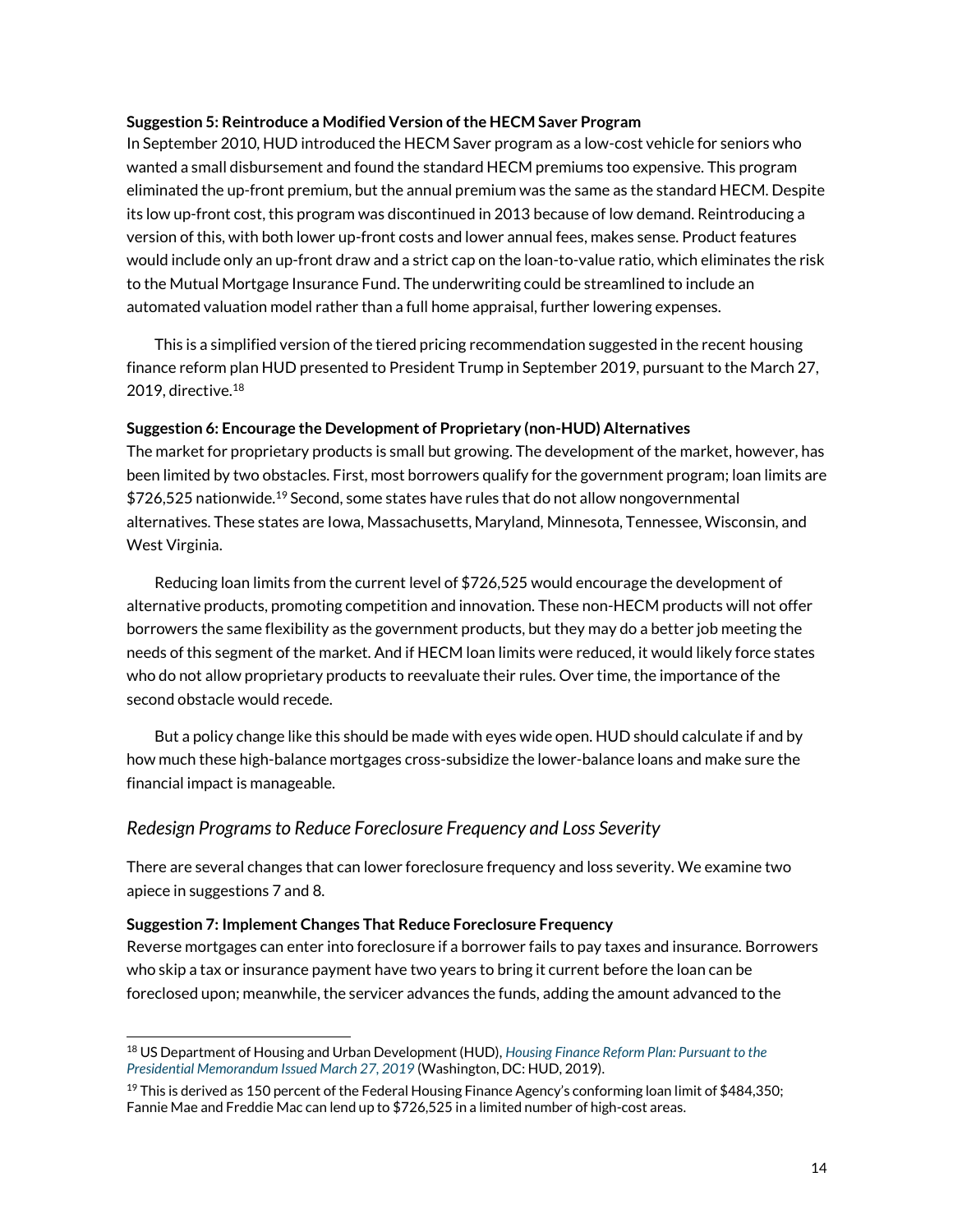### **Suggestion 5: Reintroduce a Modified Version of the HECM Saver Program**

In September 2010, HUD introduced the HECM Saver program as a low-cost vehicle for seniors who wanted a small disbursement and found the standard HECM premiums too expensive. This program eliminated the up-front premium, but the annual premium was the same as the standard HECM. Despite its low up-front cost, this program was discontinued in 2013 because of low demand. Reintroducing a version of this, with both lower up-front costs and lower annual fees, makes sense. Product features would include only an up-front draw and a strict cap on the loan-to-value ratio, which eliminates the risk to the Mutual Mortgage Insurance Fund. The underwriting could be streamlined to include an automated valuation model rather than a full home appraisal, further lowering expenses.

This is a simplified version of the tiered pricing recommendation suggested in the recent housing finance reform plan HUD presented to President Trump in September 2019, pursuant to the March 27, 2019, directive. $18$ 

### **Suggestion 6: Encourage the Development of Proprietary (non-HUD) Alternatives**

The market for proprietary products is small but growing. The development of the market, however, has been limited by two obstacles. First, most borrowers qualify for the government program; loan limits are \$726,525 nationwide.<sup>19</sup> Second, some states have rules that do not allow nongovernmental alternatives. These states are Iowa, Massachusetts, Maryland, Minnesota, Tennessee, Wisconsin, and West Virginia.

Reducing loan limits from the current level of \$726,525 would encourage the development of alternative products, promoting competition and innovation. These non-HECM products will not offer borrowers the same flexibility as the government products, but they may do a better job meeting the needs of this segment of the market. And if HECM loan limits were reduced, it would likely force states who do not allow proprietary products to reevaluate their rules. Over time, the importance of the second obstacle would recede.

But a policy change like this should be made with eyes wide open. HUD should calculate if and by how much these high-balance mortgages cross-subsidize the lower-balance loans and make sure the financial impact is manageable.

## *Redesign Programs to Reduce Foreclosure Frequency and Loss Severity*

There are several changes that can lower foreclosure frequency and loss severity. We examine two apiece in suggestions 7 and 8.

### **Suggestion 7: Implement Changes That Reduce Foreclosure Frequency**

 $\overline{a}$ 

Reverse mortgages can enter into foreclosure if a borrower fails to pay taxes and insurance. Borrowers who skip a tax or insurance payment have two years to bring it current before the loan can be foreclosed upon; meanwhile, the servicer advances the funds, adding the amount advanced to the

<sup>18</sup> US Department of Housing and Urban Development (HUD), *[Housing Finance Reform Plan: Pursuant to the](https://www.hud.gov/sites/dfiles/Main/documents/Housing-Finance-Reform-Plan0919.pdf)  [Presidential Memorandum Issued March 27, 2019](https://www.hud.gov/sites/dfiles/Main/documents/Housing-Finance-Reform-Plan0919.pdf)* (Washington, DC: HUD, 2019).

<sup>&</sup>lt;sup>19</sup> This is derived as 150 percent of the Federal Housing Finance Agency's conforming loan limit of \$484,350; Fannie Mae and Freddie Mac can lend up to \$726,525 in a limited number of high-cost areas.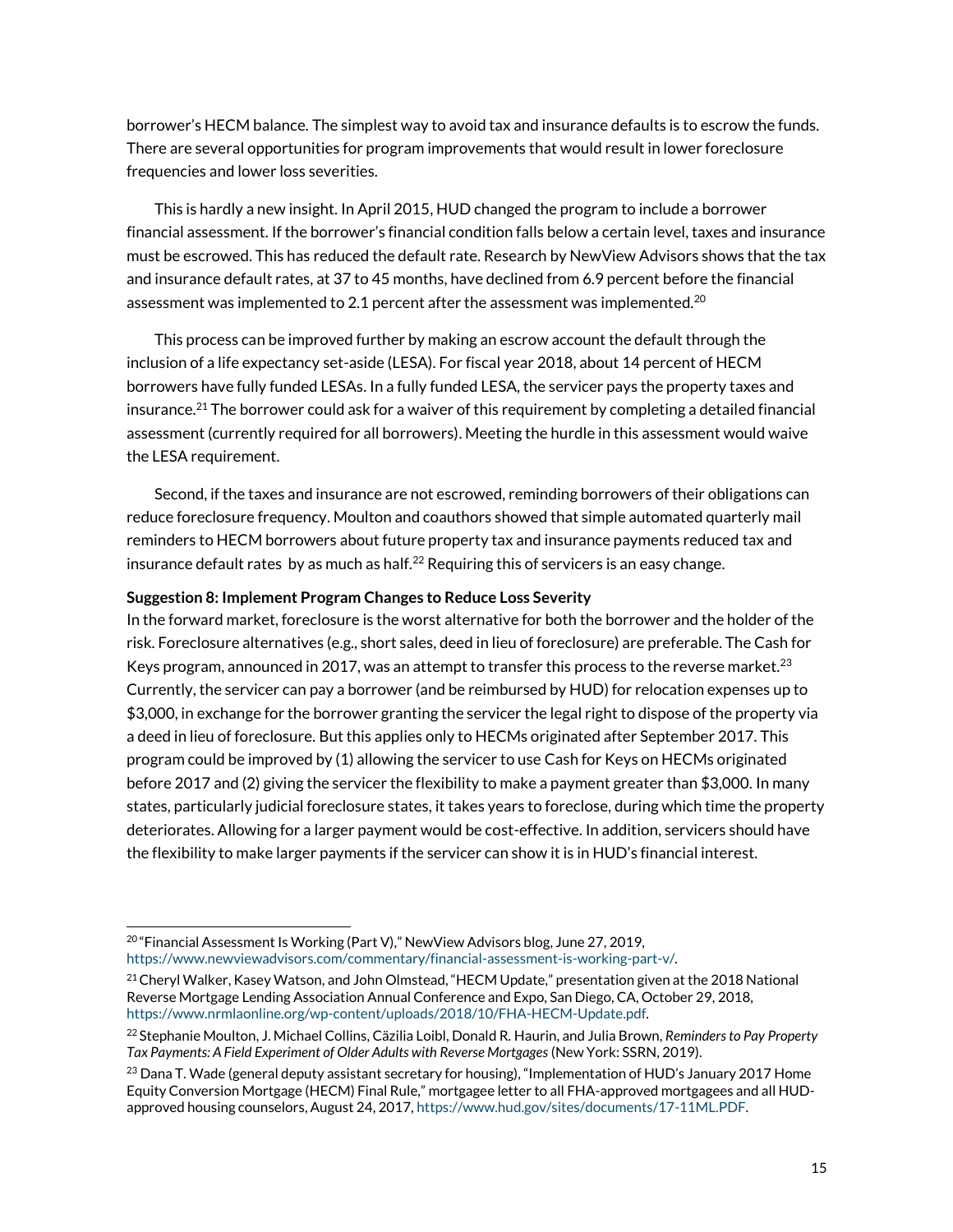borrower's HECM balance. The simplest way to avoid tax and insurance defaults is to escrow the funds. There are several opportunities for program improvements that would result in lower foreclosure frequencies and lower loss severities.

This is hardly a new insight. In April 2015, HUD changed the program to include a borrower financial assessment. If the borrower's financial condition falls below a certain level, taxes and insurance must be escrowed. This has reduced the default rate. Research by NewView Advisors shows that the tax and insurance default rates, at 37 to 45 months, have declined from 6.9 percent before the financial assessment was implemented to 2.1 percent after the assessment was implemented.<sup>20</sup>

This process can be improved further by making an escrow account the default through the inclusion of a life expectancy set-aside (LESA). For fiscal year 2018, about 14 percent of HECM borrowers have fully funded LESAs. In a fully funded LESA, the servicer pays the property taxes and insurance.<sup>21</sup> The borrower could ask for a waiver of this requirement by completing a detailed financial assessment (currently required for all borrowers). Meeting the hurdle in this assessment would waive the LESA requirement.

Second, if the taxes and insurance are not escrowed, reminding borrowers of their obligations can reduce foreclosure frequency. Moulton and coauthors showed that simple automated quarterly mail reminders to HECM borrowers about future property tax and insurance payments reduced tax and insurance default rates by as much as half. $^{22}$  Requiring this of servicers is an easy change.

#### **Suggestion 8: Implement Program Changes to Reduce Loss Severity**

In the forward market, foreclosure is the worst alternative for both the borrower and the holder of the risk. Foreclosure alternatives (e.g., short sales, deed in lieu of foreclosure) are preferable. The Cash for Keys program, announced in 2017, was an attempt to transfer this process to the reverse market.<sup>23</sup> Currently, the servicer can pay a borrower (and be reimbursed by HUD) for relocation expenses up to \$3,000, in exchange for the borrower granting the servicer the legal right to dispose of the property via a deed in lieu of foreclosure. But this applies only to HECMs originated after September 2017. This program could be improved by (1) allowing the servicer to use Cash for Keys on HECMs originated before 2017 and (2) giving the servicer the flexibility to make a payment greater than \$3,000. In many states, particularly judicial foreclosure states, it takes years to foreclose, during which time the property deteriorates. Allowing for a larger payment would be cost-effective. In addition, servicers should have the flexibility to make larger payments if the servicer can show it is in HUD's financial interest.

L

<sup>&</sup>lt;sup>20</sup> "Financial Assessment Is Working (Part V)," NewView Advisors blog, June 27, 2019, [https://www.newviewadvisors.com/commentary/financial-assessment-is-working-part-v/.](https://www.newviewadvisors.com/commentary/financial-assessment-is-working-part-v/) 

<sup>&</sup>lt;sup>21</sup> Cheryl Walker, Kasey Watson, and John Olmstead, "HECM Update," presentation given at the 2018 National Reverse Mortgage Lending Association Annual Conference and Expo, San Diego, CA, October 29, 2018, [https://www.nrmlaonline.org/wp-content/uploads/2018/10/FHA-HECM-Update.pdf.](https://www.nrmlaonline.org/wp-content/uploads/2018/10/FHA-HECM-Update.pdf)

<sup>22</sup> Stephanie Moulton, J. Michael Collins, Cäzilia Loibl, Donald R. Haurin, and Julia Brown, *Reminders to Pay Property Tax Payments: A Field Experiment of Older Adults with Reverse Mortgages* (New York: SSRN, 2019).

<sup>&</sup>lt;sup>23</sup> Dana T. Wade (general deputy assistant secretary for housing), "Implementation of HUD's January 2017 Home Equity Conversion Mortgage (HECM) Final Rule," mortgagee letter to all FHA-approved mortgagees and all HUDapproved housing counselors, August 24, 2017[, https://www.hud.gov/sites/documents/17-11ML.PDF.](https://www.hud.gov/sites/documents/17-11ML.PDF)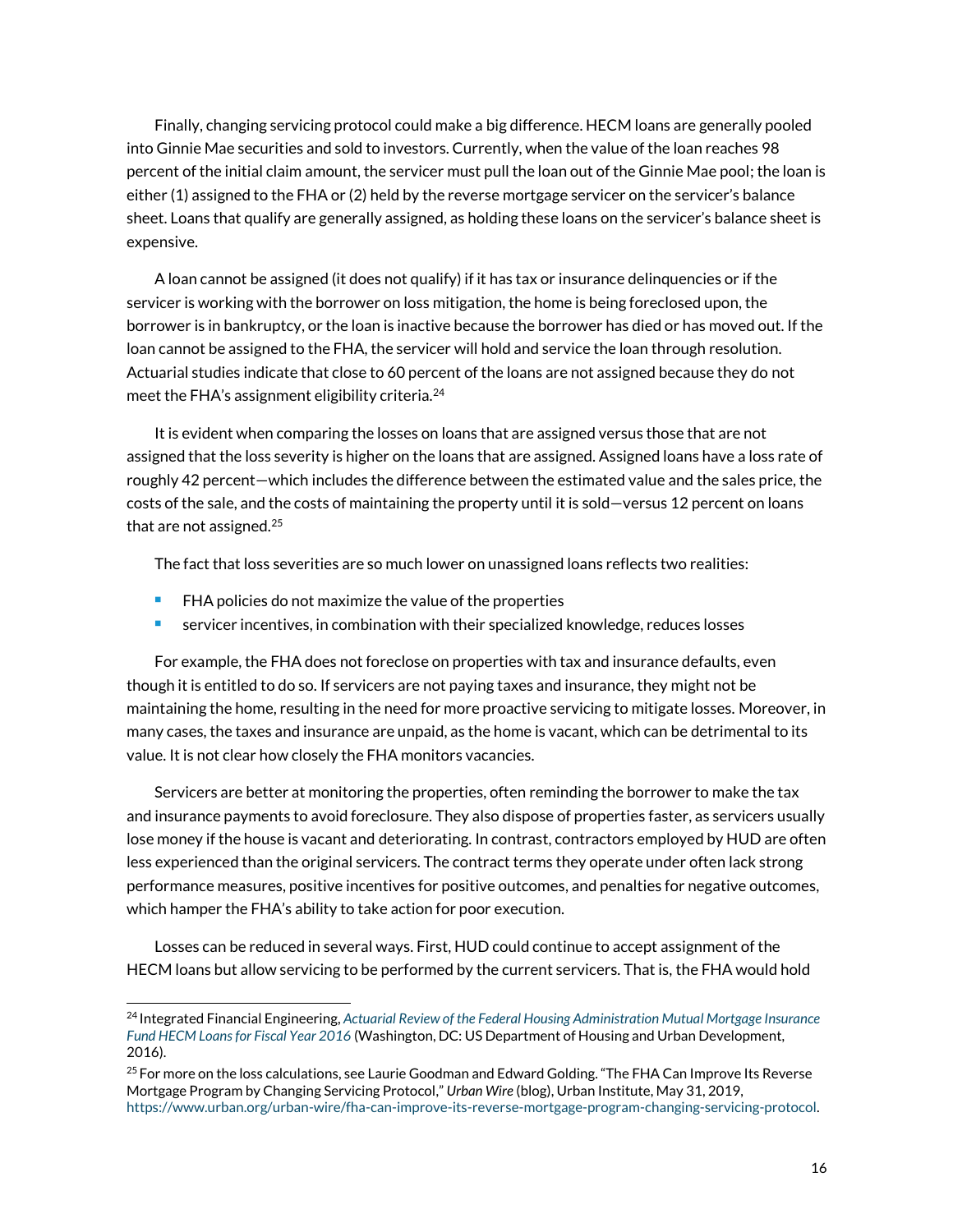Finally, changing servicing protocol could make a big difference. HECM loans are generally pooled into Ginnie Mae securities and sold to investors. Currently, when the value of the loan reaches 98 percent of the initial claim amount, the servicer must pull the loan out of the Ginnie Mae pool; the loan is either (1) assigned to the FHA or (2) held by the reverse mortgage servicer on the servicer's balance sheet. Loans that qualify are generally assigned, as holding these loans on the servicer's balance sheet is expensive.

A loan cannot be assigned (it does not qualify) if it has tax or insurance delinquencies or if the servicer is working with the borrower on loss mitigation, the home is being foreclosed upon, the borrower is in bankruptcy, or the loan is inactive because the borrower has died or has moved out. If the loan cannot be assigned to the FHA, the servicer will hold and service the loan through resolution. Actuarial studies indicate that close to 60 percent of the loans are not assigned because they do not meet the FHA's assignment eligibility criteria. $^{24}$ 

It is evident when comparing the losses on loans that are assigned versus those that are not assigned that the loss severity is higher on the loans that are assigned. Assigned loans have a loss rate of roughly 42 percent—which includes the difference between the estimated value and the sales price, the costs of the sale, and the costs of maintaining the property until it is sold—versus 12 percent on loans that are not assigned.<sup>25</sup>

The fact that loss severities are so much lower on unassigned loans reflects two realities:

**FHA** policies do not maximize the value of the properties

 $\overline{a}$ 

servicer incentives, in combination with their specialized knowledge, reduces losses

For example, the FHA does not foreclose on properties with tax and insurance defaults, even though it is entitled to do so. If servicers are not paying taxes and insurance, they might not be maintaining the home, resulting in the need for more proactive servicing to mitigate losses. Moreover, in many cases, the taxes and insurance are unpaid, as the home is vacant, which can be detrimental to its value. It is not clear how closely the FHA monitors vacancies.

Servicers are better at monitoring the properties, often reminding the borrower to make the tax and insurance payments to avoid foreclosure. They also dispose of properties faster, as servicers usually lose money if the house is vacant and deteriorating. In contrast, contractors employed by HUD are often less experienced than the original servicers. The contract terms they operate under often lack strong performance measures, positive incentives for positive outcomes, and penalties for negative outcomes, which hamper the FHA's ability to take action for poor execution.

Losses can be reduced in several ways. First, HUD could continue to accept assignment of the HECM loans but allow servicing to be performed by the current servicers. That is, the FHA would hold

<sup>24</sup> Integrated Financial Engineering, *[Actuarial Review of the Federal Housing Administration Mutual Mortgage Insurance](https://www.hud.gov/sites/documents/ACTUARIALMMIFHECM2016.PDF)  [Fund HECM Loans for Fiscal Year 2016](https://www.hud.gov/sites/documents/ACTUARIALMMIFHECM2016.PDF)* (Washington, DC: US Department of Housing and Urban Development, 2016).

 $^{25}$  For more on the loss calculations, see Laurie Goodman and Edward Golding. "The FHA Can Improve Its Reverse Mortgage Program by Changing Servicing Protocol," *Urban Wire* (blog), Urban Institute, May 31, 2019, [https://www.urban.org/urban-wire/fha-can-improve-its-reverse-mortgage-program-changing-servicing-protocol.](https://www.urban.org/urban-wire/fha-can-improve-its-reverse-mortgage-program-changing-servicing-protocol)